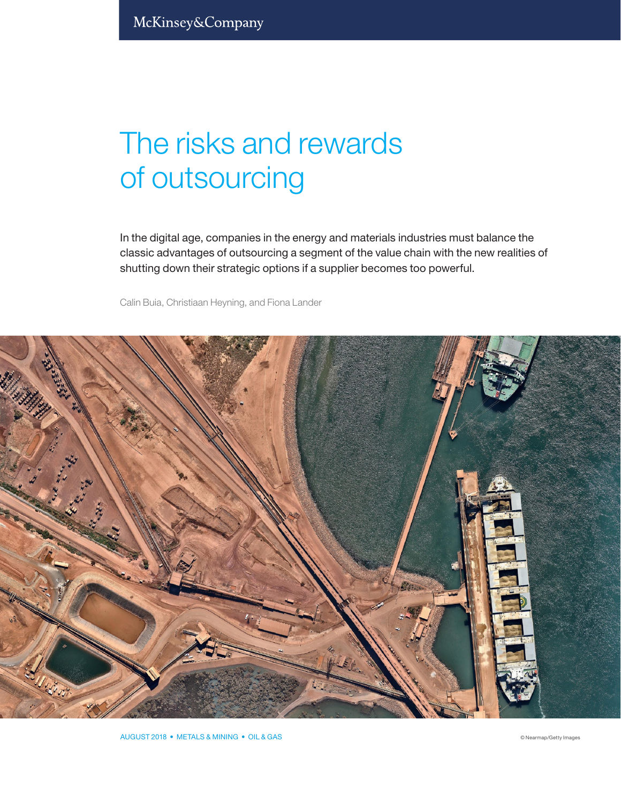# The risks and rewards of outsourcing

In the digital age, companies in the energy and materials industries must balance the classic advantages of outsourcing a segment of the value chain with the new realities of shutting down their strategic options if a supplier becomes too powerful.

Calin Buia, Christiaan Heyning, and Fiona Lander

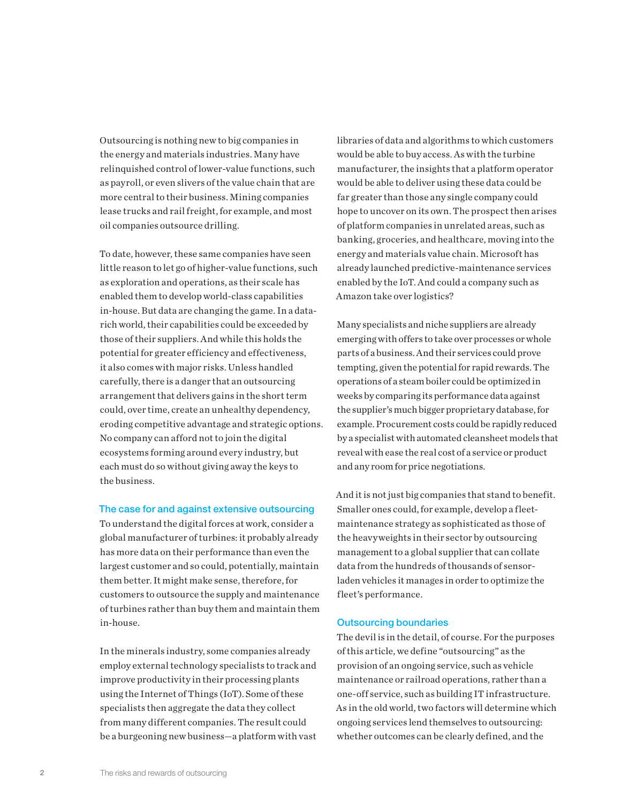Outsourcing is nothing new to big companies in the energy and materials industries. Many have relinquished control of lower-value functions, such as payroll, or even slivers of the value chain that are more central to their business. Mining companies lease trucks and rail freight, for example, and most oil companies outsource drilling.

To date, however, these same companies have seen little reason to let go of higher-value functions, such as exploration and operations, as their scale has enabled them to develop world-class capabilities in-house. But data are changing the game. In a datarich world, their capabilities could be exceeded by those of their suppliers. And while this holds the potential for greater efficiency and effectiveness, it also comes with major risks. Unless handled carefully, there is a danger that an outsourcing arrangement that delivers gains in the short term could, over time, create an unhealthy dependency, eroding competitive advantage and strategic options. No company can afford not to join the digital ecosystems forming around every industry, but each must do so without giving away the keys to the business.

## The case for and against extensive outsourcing

To understand the digital forces at work, consider a global manufacturer of turbines: it probably already has more data on their performance than even the largest customer and so could, potentially, maintain them better. It might make sense, therefore, for customers to outsource the supply and maintenance of turbines rather than buy them and maintain them in-house.

In the minerals industry, some companies already employ external technology specialists to track and improve productivity in their processing plants using the Internet of Things (IoT). Some of these specialists then aggregate the data they collect from many different companies. The result could be a burgeoning new business—a platform with vast

libraries of data and algorithms to which customers would be able to buy access. As with the turbine manufacturer, the insights that a platform operator would be able to deliver using these data could be far greater than those any single company could hope to uncover on its own. The prospect then arises of platform companies in unrelated areas, such as banking, groceries, and healthcare, moving into the energy and materials value chain. Microsoft has already launched predictive-maintenance services enabled by the IoT. And could a company such as Amazon take over logistics?

Many specialists and niche suppliers are already emerging with offers to take over processes or whole parts of a business. And their services could prove tempting, given the potential for rapid rewards. The operations of a steam boiler could be optimized in weeks by comparing its performance data against the supplier's much bigger proprietary database, for example. Procurement costs could be rapidly reduced by a specialist with automated cleansheet models that reveal with ease the real cost of a service or product and any room for price negotiations.

And it is not just big companies that stand to benefit. Smaller ones could, for example, develop a fleetmaintenance strategy as sophisticated as those of the heavyweights in their sector by outsourcing management to a global supplier that can collate data from the hundreds of thousands of sensorladen vehicles it manages in order to optimize the fleet's performance.

#### Outsourcing boundaries

The devil is in the detail, of course. For the purposes of this article, we define "outsourcing" as the provision of an ongoing service, such as vehicle maintenance or railroad operations, rather than a one-off service, such as building IT infrastructure. As in the old world, two factors will determine which ongoing services lend themselves to outsourcing: whether outcomes can be clearly defined, and the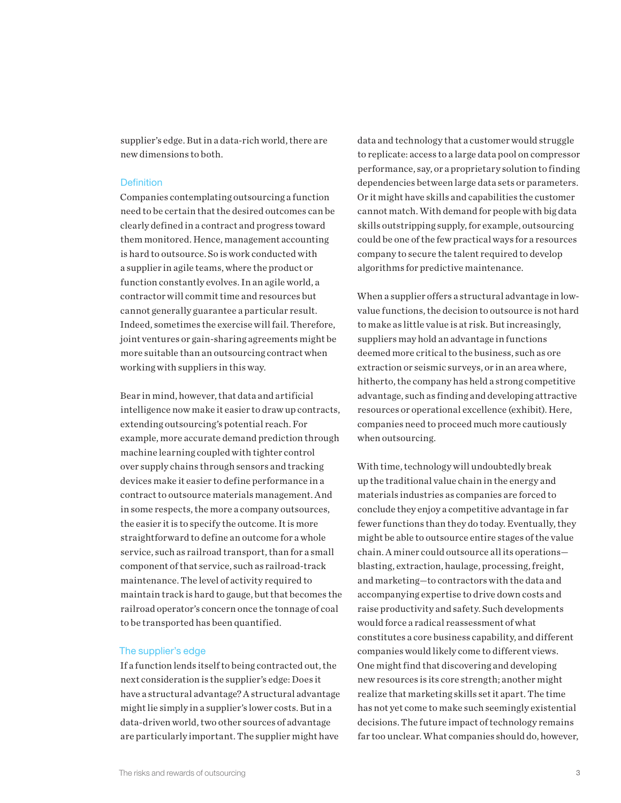supplier's edge. But in a data-rich world, there are new dimensions to both.

## **Definition**

Companies contemplating outsourcing a function need to be certain that the desired outcomes can be clearly defined in a contract and progress toward them monitored. Hence, management accounting is hard to outsource. So is work conducted with a supplier in agile teams, where the product or function constantly evolves. In an agile world, a contractor will commit time and resources but cannot generally guarantee a particular result. Indeed, sometimes the exercise will fail. Therefore, joint ventures or gain-sharing agreements might be more suitable than an outsourcing contract when working with suppliers in this way.

Bear in mind, however, that data and artificial intelligence now make it easier to draw up contracts, extending outsourcing's potential reach. For example, more accurate demand prediction through machine learning coupled with tighter control over supply chains through sensors and tracking devices make it easier to define performance in a contract to outsource materials management. And in some respects, the more a company outsources, the easier it is to specify the outcome. It is more straightforward to define an outcome for a whole service, such as railroad transport, than for a small component of that service, such as railroad-track maintenance. The level of activity required to maintain track is hard to gauge, but that becomes the railroad operator's concern once the tonnage of coal to be transported has been quantified.

# The supplier's edge

If a function lends itself to being contracted out, the next consideration is the supplier's edge: Does it have a structural advantage? A structural advantage might lie simply in a supplier's lower costs. But in a data-driven world, two other sources of advantage are particularly important. The supplier might have

data and technology that a customer would struggle to replicate: access to a large data pool on compressor performance, say, or a proprietary solution to finding dependencies between large data sets or parameters. Or it might have skills and capabilities the customer cannot match. With demand for people with big data skills outstripping supply, for example, outsourcing could be one of the few practical ways for a resources company to secure the talent required to develop algorithms for predictive maintenance.

When a supplier offers a structural advantage in lowvalue functions, the decision to outsource is not hard to make as little value is at risk. But increasingly, suppliers may hold an advantage in functions deemed more critical to the business, such as ore extraction or seismic surveys, or in an area where, hitherto, the company has held a strong competitive advantage, such as finding and developing attractive resources or operational excellence (exhibit). Here, companies need to proceed much more cautiously when outsourcing.

With time, technology will undoubtedly break up the traditional value chain in the energy and materials industries as companies are forced to conclude they enjoy a competitive advantage in far fewer functions than they do today. Eventually, they might be able to outsource entire stages of the value chain. A miner could outsource all its operations blasting, extraction, haulage, processing, freight, and marketing—to contractors with the data and accompanying expertise to drive down costs and raise productivity and safety. Such developments would force a radical reassessment of what constitutes a core business capability, and different companies would likely come to different views. One might find that discovering and developing new resources is its core strength; another might realize that marketing skills set it apart. The time has not yet come to make such seemingly existential decisions. The future impact of technology remains far too unclear. What companies should do, however,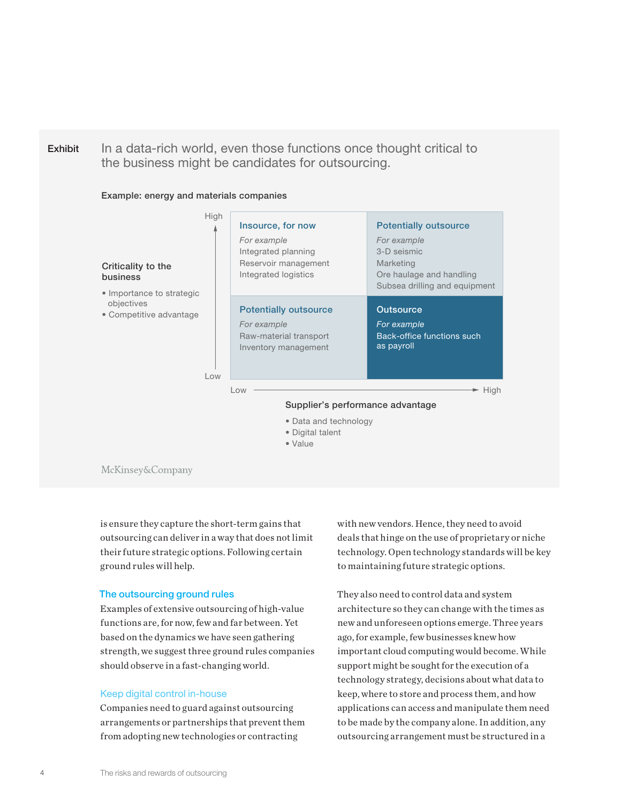

Example: energy and materials companies



McKinsey&Company

is ensure they capture the short-term gains that outsourcing can deliver in a way that does not limit their future strategic options. Following certain ground rules will help.

# The outsourcing ground rules

Examples of extensive outsourcing of high-value functions are, for now, few and far between. Yet based on the dynamics we have seen gathering strength, we suggest three ground rules companies should observe in a fast-changing world.

## Keep digital control in-house

Companies need to guard against outsourcing arrangements or partnerships that prevent them from adopting new technologies or contracting

with new vendors. Hence, they need to avoid deals that hinge on the use of proprietary or niche technology. Open technology standards will be key to maintaining future strategic options.

They also need to control data and system architecture so they can change with the times as new and unforeseen options emerge. Three years ago, for example, few businesses knew how important cloud computing would become. While support might be sought for the execution of a technology strategy, decisions about what data to keep, where to store and process them, and how applications can access and manipulate them need to be made by the company alone. In addition, any outsourcing arrangement must be structured in a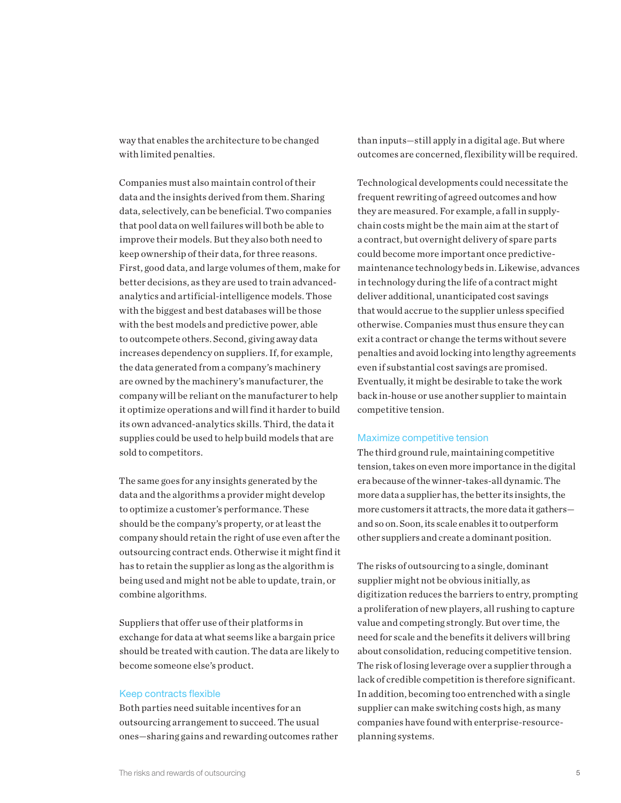way that enables the architecture to be changed with limited penalties.

Companies must also maintain control of their data and the insights derived from them. Sharing data, selectively, can be beneficial. Two companies that pool data on well failures will both be able to improve their models. But they also both need to keep ownership of their data, for three reasons. First, good data, and large volumes of them, make for better decisions, as they are used to train advancedanalytics and artificial-intelligence models. Those with the biggest and best databases will be those with the best models and predictive power, able to outcompete others. Second, giving away data increases dependency on suppliers. If, for example, the data generated from a company's machinery are owned by the machinery's manufacturer, the company will be reliant on the manufacturer to help it optimize operations and will find it harder to build its own advanced-analytics skills. Third, the data it supplies could be used to help build models that are sold to competitors.

The same goes for any insights generated by the data and the algorithms a provider might develop to optimize a customer's performance. These should be the company's property, or at least the company should retain the right of use even after the outsourcing contract ends. Otherwise it might find it has to retain the supplier as long as the algorithm is being used and might not be able to update, train, or combine algorithms.

Suppliers that offer use of their platforms in exchange for data at what seems like a bargain price should be treated with caution. The data are likely to become someone else's product.

## Keep contracts flexible

Both parties need suitable incentives for an outsourcing arrangement to succeed. The usual ones—sharing gains and rewarding outcomes rather than inputs—still apply in a digital age. But where outcomes are concerned, flexibility will be required.

Technological developments could necessitate the frequent rewriting of agreed outcomes and how they are measured. For example, a fall in supplychain costs might be the main aim at the start of a contract, but overnight delivery of spare parts could become more important once predictivemaintenance technology beds in. Likewise, advances in technology during the life of a contract might deliver additional, unanticipated cost savings that would accrue to the supplier unless specified otherwise. Companies must thus ensure they can exit a contract or change the terms without severe penalties and avoid locking into lengthy agreements even if substantial cost savings are promised. Eventually, it might be desirable to take the work back in-house or use another supplier to maintain competitive tension.

## Maximize competitive tension

The third ground rule, maintaining competitive tension, takes on even more importance in the digital era because of the winner-takes-all dynamic. The more data a supplier has, the better its insights, the more customers it attracts, the more data it gathers and so on. Soon, its scale enables it to outperform other suppliers and create a dominant position.

The risks of outsourcing to a single, dominant supplier might not be obvious initially, as digitization reduces the barriers to entry, prompting a proliferation of new players, all rushing to capture value and competing strongly. But over time, the need for scale and the benefits it delivers will bring about consolidation, reducing competitive tension. The risk of losing leverage over a supplier through a lack of credible competition is therefore significant. In addition, becoming too entrenched with a single supplier can make switching costs high, as many companies have found with enterprise-resourceplanning systems.